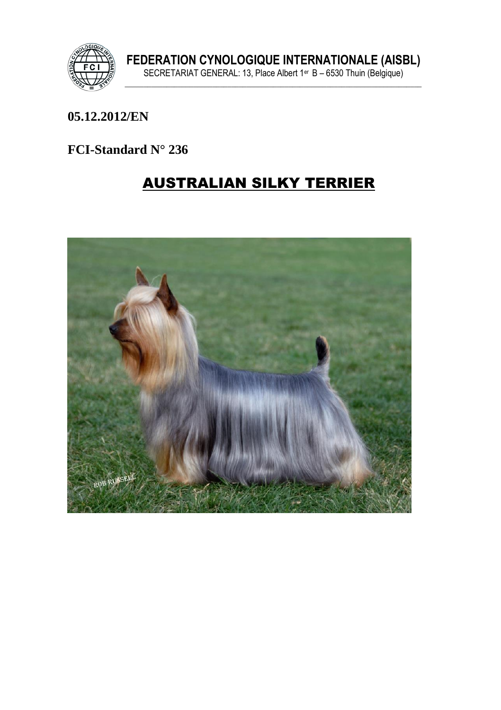

#### 05.12.2012/EN

#### FCI-Standard N° 236

# **AUSTRALIAN SILKY TERRIER**

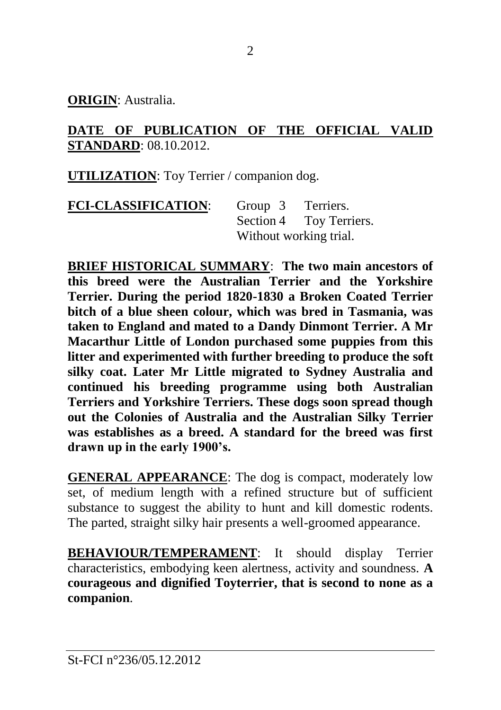**ORIGIN**: Australia.

#### **DATE OF PUBLICATION OF THE OFFICIAL VALID STANDARD**: 08.10.2012.

**UTILIZATION**: Toy Terrier / companion dog.

| <b>FCI-CLASSIFICATION:</b> | Group 3                | Terriers.               |
|----------------------------|------------------------|-------------------------|
|                            |                        | Section 4 Toy Terriers. |
|                            | Without working trial. |                         |

**BRIEF HISTORICAL SUMMARY**: **The two main ancestors of this breed were the Australian Terrier and the Yorkshire Terrier. During the period 1820-1830 a Broken Coated Terrier bitch of a blue sheen colour, which was bred in Tasmania, was taken to England and mated to a Dandy Dinmont Terrier. A Mr Macarthur Little of London purchased some puppies from this litter and experimented with further breeding to produce the soft silky coat. Later Mr Little migrated to Sydney Australia and continued his breeding programme using both Australian Terriers and Yorkshire Terriers. These dogs soon spread though out the Colonies of Australia and the Australian Silky Terrier was establishes as a breed. A standard for the breed was first drawn up in the early 1900's.**

**GENERAL APPEARANCE**: The dog is compact, moderately low set, of medium length with a refined structure but of sufficient substance to suggest the ability to hunt and kill domestic rodents. The parted, straight silky hair presents a well-groomed appearance.

**BEHAVIOUR/TEMPERAMENT**: It should display Terrier characteristics, embodying keen alertness, activity and soundness. **A courageous and dignified Toyterrier, that is second to none as a companion**.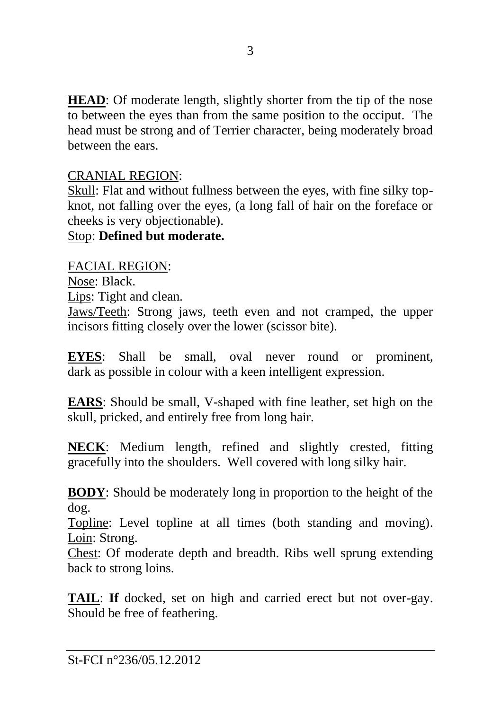**HEAD**: Of moderate length, slightly shorter from the tip of the nose to between the eyes than from the same position to the occiput. The head must be strong and of Terrier character, being moderately broad between the ears.

#### CRANIAL REGION:

Skull: Flat and without fullness between the eyes, with fine silky topknot, not falling over the eyes, (a long fall of hair on the foreface or cheeks is very objectionable).

### Stop: **Defined but moderate.**

### FACIAL REGION:

Nose: Black.

Lips: Tight and clean.

Jaws/Teeth: Strong jaws, teeth even and not cramped, the upper incisors fitting closely over the lower (scissor bite).

**EYES**: Shall be small, oval never round or prominent, dark as possible in colour with a keen intelligent expression.

**EARS**: Should be small, V-shaped with fine leather, set high on the skull, pricked, and entirely free from long hair.

**NECK**: Medium length, refined and slightly crested, fitting gracefully into the shoulders. Well covered with long silky hair.

**BODY**: Should be moderately long in proportion to the height of the dog.

Topline: Level topline at all times (both standing and moving). Loin: Strong.

Chest: Of moderate depth and breadth. Ribs well sprung extending back to strong loins.

**TAIL**: **If** docked, set on high and carried erect but not over-gay. Should be free of feathering.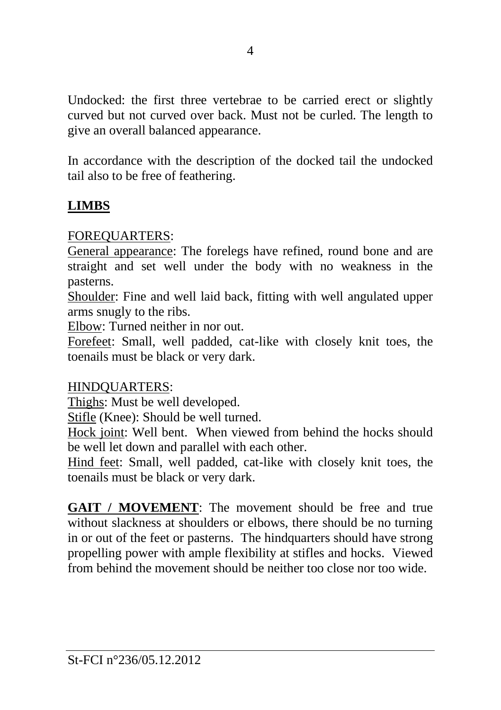Undocked: the first three vertebrae to be carried erect or slightly curved but not curved over back. Must not be curled. The length to give an overall balanced appearance.

In accordance with the description of the docked tail the undocked tail also to be free of feathering.

### **LIMBS**

#### FOREQUARTERS:

General appearance: The forelegs have refined, round bone and are straight and set well under the body with no weakness in the pasterns.

Shoulder: Fine and well laid back, fitting with well angulated upper arms snugly to the ribs.

Elbow: Turned neither in nor out.

Forefeet: Small, well padded, cat-like with closely knit toes, the toenails must be black or very dark.

#### HINDQUARTERS:

Thighs: Must be well developed.

Stifle (Knee): Should be well turned.

Hock joint: Well bent. When viewed from behind the hocks should be well let down and parallel with each other.

Hind feet: Small, well padded, cat-like with closely knit toes, the toenails must be black or very dark.

**GAIT / MOVEMENT**: The movement should be free and true without slackness at shoulders or elbows, there should be no turning in or out of the feet or pasterns. The hindquarters should have strong propelling power with ample flexibility at stifles and hocks. Viewed from behind the movement should be neither too close nor too wide.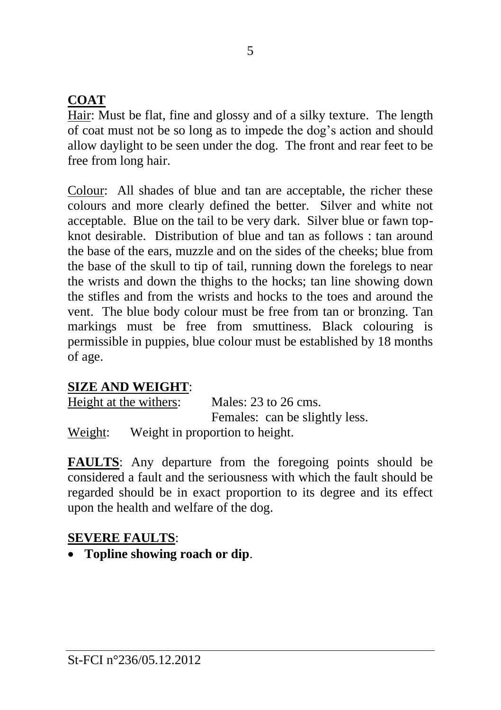### **COAT**

Hair: Must be flat, fine and glossy and of a silky texture. The length of coat must not be so long as to impede the dog's action and should allow daylight to be seen under the dog. The front and rear feet to be free from long hair.

Colour: All shades of blue and tan are acceptable, the richer these colours and more clearly defined the better. Silver and white not acceptable. Blue on the tail to be very dark. Silver blue or fawn topknot desirable. Distribution of blue and tan as follows : tan around the base of the ears, muzzle and on the sides of the cheeks; blue from the base of the skull to tip of tail, running down the forelegs to near the wrists and down the thighs to the hocks; tan line showing down the stifles and from the wrists and hocks to the toes and around the vent. The blue body colour must be free from tan or bronzing. Tan markings must be free from smuttiness. Black colouring is permissible in puppies, blue colour must be established by 18 months of age.

### **SIZE AND WEIGHT**:

|         | Height at the withers:          | Males: $23$ to $26$ cms.       |
|---------|---------------------------------|--------------------------------|
|         |                                 | Females: can be slightly less. |
| Weight: | Weight in proportion to height. |                                |

**FAULTS**: Any departure from the foregoing points should be considered a fault and the seriousness with which the fault should be regarded should be in exact proportion to its degree and its effect upon the health and welfare of the dog.

### **SEVERE FAULTS**:

• **Topline showing roach or dip**.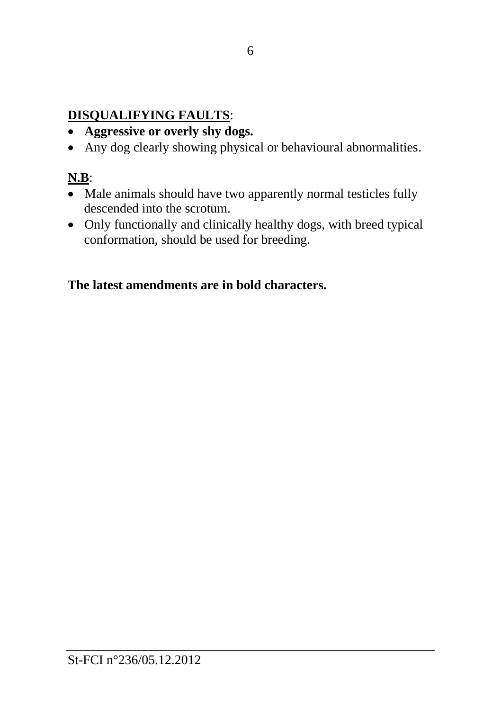### **DISQUALIFYING FAULTS**:

- **Aggressive or overly shy dogs.**
- Any dog clearly showing physical or behavioural abnormalities.

## **N.B**:

- Male animals should have two apparently normal testicles fully descended into the scrotum.
- Only functionally and clinically healthy dogs, with breed typical conformation, should be used for breeding.

### **The latest amendments are in bold characters.**